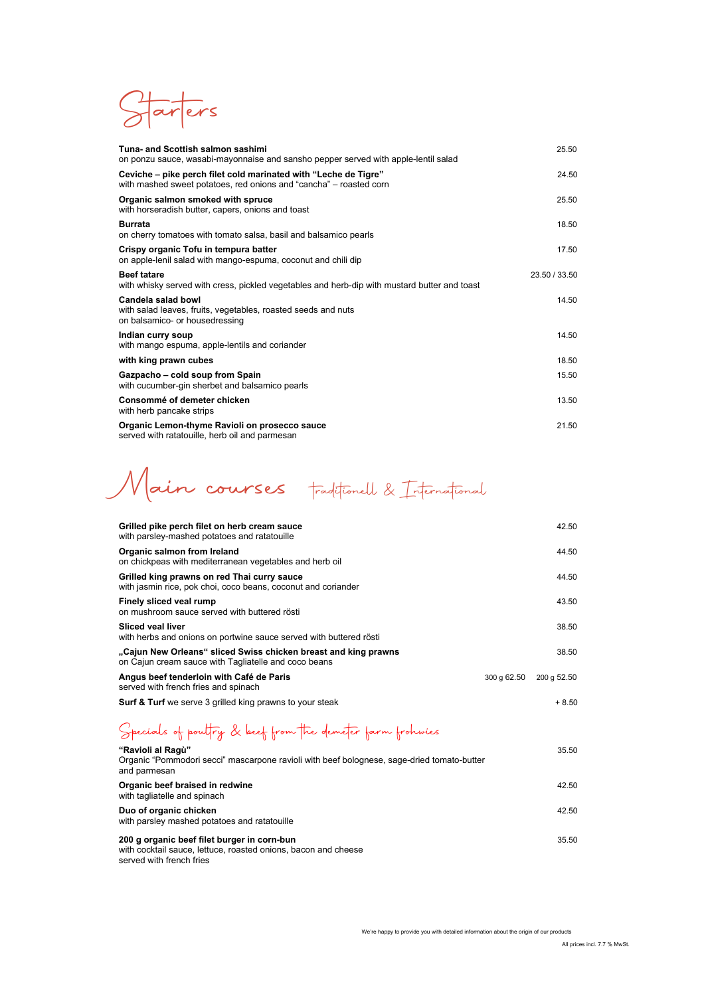Starters

| Tuna- and Scottish salmon sashimi<br>on ponzu sauce, wasabi-mayonnaise and sansho pepper served with apple-lentil salad               | 25.50         |
|---------------------------------------------------------------------------------------------------------------------------------------|---------------|
| Ceviche – pike perch filet cold marinated with "Leche de Tigre"<br>with mashed sweet potatoes, red onions and "cancha" – roasted corn | 24.50         |
| Organic salmon smoked with spruce<br>with horseradish butter, capers, onions and toast                                                | 25.50         |
| <b>Burrata</b><br>on cherry tomatoes with tomato salsa, basil and balsamico pearls                                                    | 18.50         |
| Crispy organic Tofu in tempura batter<br>on apple-lenil salad with mango-espuma, coconut and chili dip                                | 17.50         |
| <b>Beef tatare</b><br>with whisky served with cress, pickled vegetables and herb-dip with mustard butter and toast                    | 23.50 / 33.50 |
| Candela salad bowl<br>with salad leaves, fruits, vegetables, roasted seeds and nuts<br>on balsamico- or housedressing                 | 14.50         |
| Indian curry soup<br>with mango espuma, apple-lentils and coriander                                                                   | 14.50         |
| with king prawn cubes                                                                                                                 | 18.50         |
| Gazpacho - cold soup from Spain<br>with cucumber-gin sherbet and balsamico pearls                                                     | 15.50         |
| Consommé of demeter chicken<br>with herb pancake strips                                                                               | 13.50         |
| Organic Lemon-thyme Ravioli on prosecco sauce<br>served with ratatouille, herb oil and parmesan                                       | 21.50         |

Main courses traditionell & International

| Grilled pike perch filet on herb cream sauce<br>with parsley-mashed potatoes and ratatouille                            |             | 42.50       |
|-------------------------------------------------------------------------------------------------------------------------|-------------|-------------|
| Organic salmon from Ireland<br>on chickpeas with mediterranean vegetables and herb oil                                  |             | 44.50       |
| Grilled king prawns on red Thai curry sauce<br>with jasmin rice, pok choi, coco beans, coconut and coriander            |             | 44.50       |
| Finely sliced veal rump<br>on mushroom sauce served with buttered rösti                                                 |             | 43.50       |
| <b>Sliced veal liver</b><br>with herbs and onions on portwine sauce served with buttered rösti                          |             | 38.50       |
| "Cajun New Orleans" sliced Swiss chicken breast and king prawns<br>on Cajun cream sauce with Tagliatelle and coco beans |             | 38.50       |
| Angus beef tenderloin with Café de Paris<br>served with french fries and spinach                                        | 300 g 62.50 | 200 g 52.50 |
| <b>Surf &amp; Turf</b> we serve 3 grilled king prawns to your steak                                                     |             | + 8.50      |

## Specials of poultry & beef from the demeter farm frohwies

| "Ravioli al Ragù"<br>Organic "Pommodori secci" mascarpone ravioli with beef bolognese, sage-dried tomato-butter<br>and parmesan           | 35.50 |
|-------------------------------------------------------------------------------------------------------------------------------------------|-------|
| Organic beef braised in redwine<br>with tagliatelle and spinach                                                                           | 42.50 |
| Duo of organic chicken<br>with parsley mashed potatoes and ratatouille                                                                    | 42.50 |
| 200 g organic beef filet burger in corn-bun<br>with cocktail sauce, lettuce, roasted onions, bacon and cheese<br>served with french fries | 35.50 |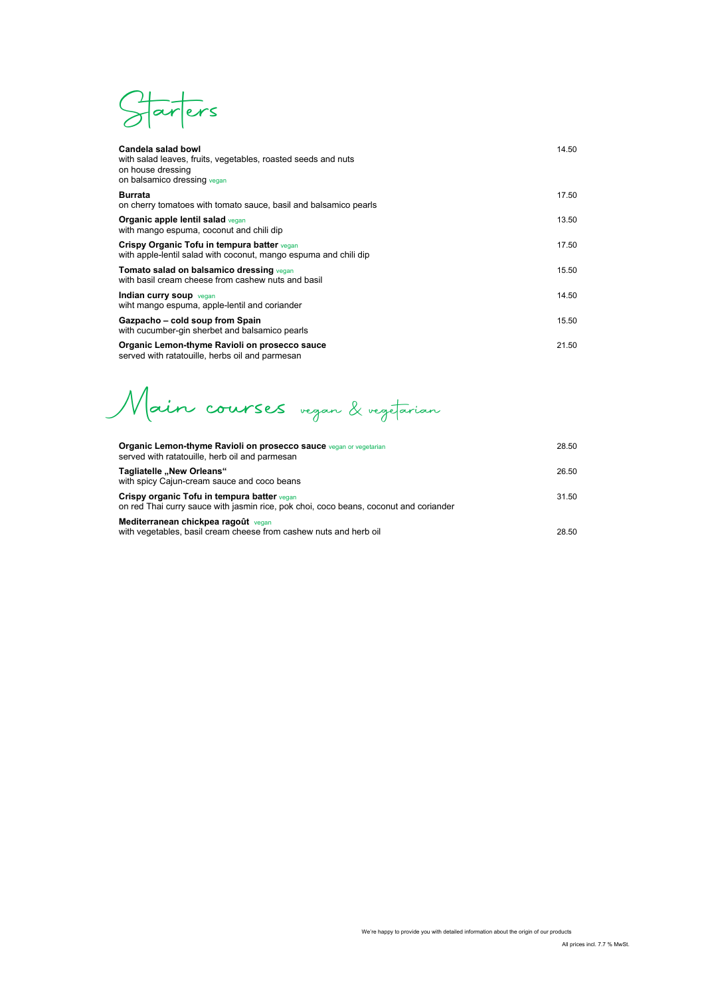Starters

| Candela salad bowl<br>with salad leaves, fruits, vegetables, roasted seeds and nuts<br>on house dressing<br>on balsamico dressing vegan | 14.50 |
|-----------------------------------------------------------------------------------------------------------------------------------------|-------|
| <b>Burrata</b><br>on cherry tomatoes with tomato sauce, basil and balsamico pearls                                                      | 17.50 |
| Organic apple lentil salad vegan<br>with mango espuma, coconut and chili dip                                                            | 13.50 |
| Crispy Organic Tofu in tempura batter vegan<br>with apple-lentil salad with coconut, mango espuma and chili dip                         | 17.50 |
| Tomato salad on balsamico dressing vegan<br>with basil cream cheese from cashew nuts and basil                                          | 15.50 |
| Indian curry soup vegan<br>wiht mango espuma, apple-lentil and coriander                                                                | 14.50 |
| Gazpacho – cold soup from Spain<br>with cucumber-gin sherbet and balsamico pearls                                                       | 15.50 |
| Organic Lemon-thyme Ravioli on prosecco sauce<br>served with ratatouille, herbs oil and parmesan                                        | 21.50 |

Main courses vegan & vegetarian

| <b>Organic Lemon-thyme Ravioli on prosecco sauce vegan or vegetarian</b><br>served with ratatouille, herb oil and parmesan           | 28.50 |
|--------------------------------------------------------------------------------------------------------------------------------------|-------|
| Tagliatelle "New Orleans"<br>with spicy Cajun-cream sauce and coco beans                                                             | 26.50 |
| Crispy organic Tofu in tempura batter vegan<br>on red Thai curry sauce with jasmin rice, pok choi, coco beans, coconut and coriander | 31.50 |
| Mediterranean chickpea ragoût vegan<br>with vegetables, basil cream cheese from cashew nuts and herb oil                             | 28.50 |